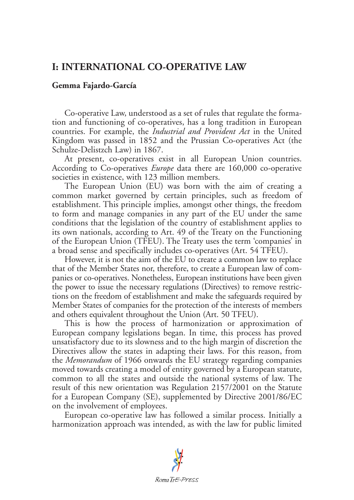## **I: INTERNATIONAL CO-OPERATIVE LAW**

## **Gemma Fajardo-García**

Co-operative Law, understood as a set of rules that regulate the formation and functioning of co-operatives, has a long tradition in European countries. For example, the *Industrial and Provident Act* in the United Kingdom was passed in 1852 and the Prussian Co-operatives Act (the Schulze-Delistzch Law) in 1867.

At present, co-operatives exist in all European Union countries. According to Co-operatives *Europe* data there are 160,000 co-operative societies in existence, with 123 million members.

The European Union (EU) was born with the aim of creating a common market governed by certain principles, such as freedom of establishment. This principle implies, amongst other things, the freedom to form and manage companies in any part of the EU under the same conditions that the legislation of the country of establishment applies to its own nationals, according to Art. 49 of the Treaty on the Functioning of the European Union (TFEU). The Treaty uses the term 'companies' in a broad sense and specifically includes co-operatives (Art. 54 TFEU).

However, it is not the aim of the EU to create a common law to replace that of the Member States nor, therefore, to create a European law of companies or co-operatives. Nonetheless, European institutions have been given the power to issue the necessary regulations (Directives) to remove restrictions on the freedom of establishment and make the safeguards required by Member States of companies for the protection of the interests of members and others equivalent throughout the Union (Art. 50 TFEU).

This is how the process of harmonization or approximation of European company legislations began. In time, this process has proved unsatisfactory due to its slowness and to the high margin of discretion the Directives allow the states in adapting their laws. For this reason, from the *Memorandum* of 1966 onwards the EU strategy regarding companies moved towards creating a model of entity governed by a European statute, common to all the states and outside the national systems of law. The result of this new orientation was Regulation 2157/2001 on the Statute for a European Company (SE), supplemented by Directive 2001/86/EC on the involvement of employees.

European co-operative law has followed a similar process. Initially a harmonization approach was intended, as with the law for public limited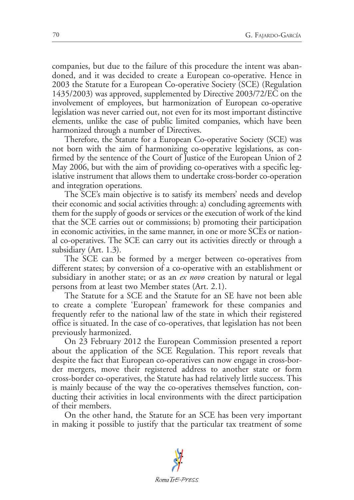companies, but due to the failure of this procedure the intent was abandoned, and it was decided to create a European co-operative. Hence in 2003 the Statute for a European Co-operative Society (SCE) (Regulation 1435/2003) was approved, supplemented by Directive 2003/72/EC on the involvement of employees, but harmonization of European co-operative legislation was never carried out, not even for its most important distinctive elements, unlike the case of public limited companies, which have been harmonized through a number of Directives.

Therefore, the Statute for a European Co-operative Society (SCE) was not born with the aim of harmonizing co-operative legislations, as confirmed by the sentence of the Court of Justice of the European Union of 2 May 2006, but with the aim of providing co-operatives with a specific legislative instrument that allows them to undertake cross-border co-operation and integration operations.

The SCE's main objective is to satisfy its members' needs and develop their economic and social activities through: a) concluding agreements with them for the supply of goods or services or the execution of work of the kind that the SCE carries out or commissions; b) promoting their participation in economic activities, in the same manner, in one or more SCEs or national co-operatives. The SCE can carry out its activities directly or through a subsidiary (Art. 1.3).

The SCE can be formed by a merger between co-operatives from different states; by conversion of a co-operative with an establishment or subsidiary in another state; or as an *ex novo* creation by natural or legal persons from at least two Member states (Art. 2.1).

The Statute for a SCE and the Statute for an SE have not been able to create a complete 'European' framework for these companies and frequently refer to the national law of the state in which their registered office is situated. In the case of co-operatives, that legislation has not been previously harmonized.

On 23 February 2012 the European Commission presented a report about the application of the SCE Regulation. This report reveals that despite the fact that European co-operatives can now engage in cross-border mergers, move their registered address to another state or form cross-border co-operatives, the Statute has had relatively little success. This is mainly because of the way the co-operatives themselves function, conducting their activities in local environments with the direct participation of their members.

On the other hand, the Statute for an SCE has been very important in making it possible to justify that the particular tax treatment of some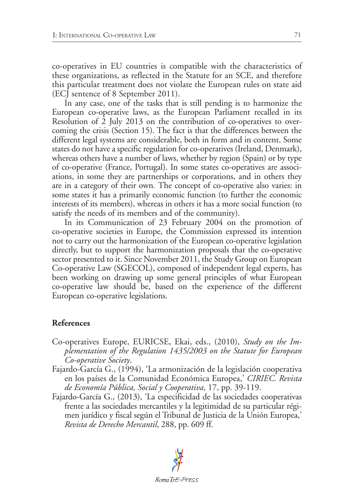co-operatives in EU countries is compatible with the characteristics of these organizations, as reflected in the Statute for an SCE, and therefore this particular treatment does not violate the European rules on state aid (ECJ sentence of 8 September 2011).

In any case, one of the tasks that is still pending is to harmonize the European co-operative laws, as the European Parliament recalled in its Resolution of 2 July 2013 on the contribution of co-operatives to overcoming the crisis (Section 15). The fact is that the differences between the different legal systems are considerable, both in form and in content. Some states do not have a specific regulation for co-operatives (Ireland, Denmark), whereas others have a number of laws, whether by region (Spain) or by type of co-operative (France, Portugal). In some states co-operatives are associations, in some they are partnerships or corporations, and in others they are in a category of their own*.* The concept of co-operative also varies: in some states it has a primarily economic function (to further the economic interests of its members), whereas in others it has a more social function (to satisfy the needs of its members and of the community).

In its Communication of 23 February 2004 on the promotion of co-operative societies in Europe, the Commission expressed its intention not to carry out the harmonization of the European co-operative legislation directly, but to support the harmonization proposals that the co-operative sector presented to it. Since November 2011, the Study Group on European Co-operative Law (SGECOL), composed of independent legal experts, has been working on drawing up some general principles of what European co-operative law should be, based on the experience of the different European co-operative legislations.

## **References**

- Co-operatives Europe, EURICSE, Ekai, eds., (2010), *Study on the Implementation of the Regulation 1435/2003 on the Statute for European Co-operative Society*.
- Fajardo-García G., (1994), 'La armonización de la legislación cooperativa en los países de la Comunidad Económica Europea,' *CIRIEC. Revista de Economía Pública, Social y Cooperativa*, 17, pp. 39-119.
- Fajardo-García G., (2013), 'La especificidad de las sociedades cooperativas frente a las sociedades mercantiles y la legitimidad de su particular régimen jurídico y fiscal según el Tribunal de Justicia de la Unión Europea,' *Revista de Derecho Mercantil*, 288, pp. 609 ff.